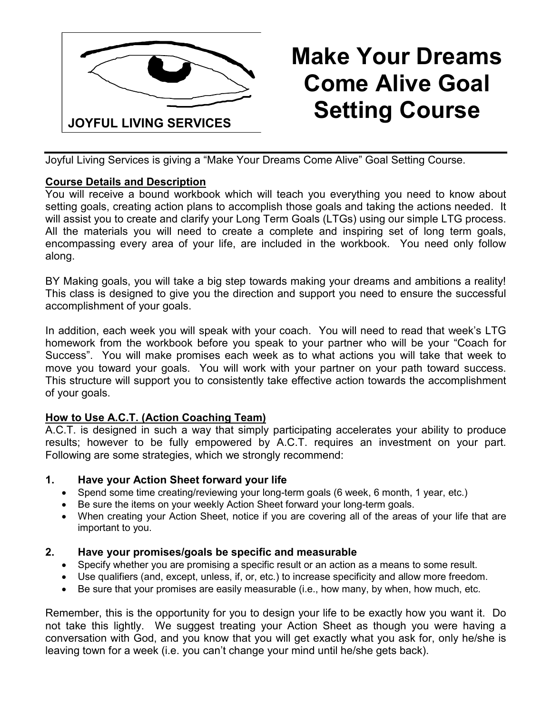

# **Make Your Dreams Come Alive Goal Setting Course**

Joyful Living Services is giving a "Make Your Dreams Come Alive" Goal Setting Course.

### **Course Details and Description**

You will receive a bound workbook which will teach you everything you need to know about setting goals, creating action plans to accomplish those goals and taking the actions needed. It will assist you to create and clarify your Long Term Goals (LTGs) using our simple LTG process. All the materials you will need to create a complete and inspiring set of long term goals, encompassing every area of your life, are included in the workbook. You need only follow along.

BY Making goals, you will take a big step towards making your dreams and ambitions a reality! This class is designed to give you the direction and support you need to ensure the successful accomplishment of your goals.

In addition, each week you will speak with your coach. You will need to read that week's LTG homework from the workbook before you speak to your partner who will be your "Coach for Success". You will make promises each week as to what actions you will take that week to move you toward your goals. You will work with your partner on your path toward success. This structure will support you to consistently take effective action towards the accomplishment of your goals.

# **How to Use A.C.T. (Action Coaching Team)**

A.C.T. is designed in such a way that simply participating accelerates your ability to produce results; however to be fully empowered by A.C.T. requires an investment on your part. Following are some strategies, which we strongly recommend:

#### **1. Have your Action Sheet forward your life**

- Spend some time creating/reviewing your long-term goals (6 week, 6 month, 1 year, etc.)
- Be sure the items on your weekly Action Sheet forward your long-term goals.
- When creating your Action Sheet, notice if you are covering all of the areas of your life that are important to you.

# **2. Have your promises/goals be specific and measurable**

- Specify whether you are promising a specific result or an action as a means to some result.
- Use qualifiers (and, except, unless, if, or, etc.) to increase specificity and allow more freedom.
- Be sure that your promises are easily measurable (i.e., how many, by when, how much, etc.

Remember, this is the opportunity for you to design your life to be exactly how you want it. Do not take this lightly. We suggest treating your Action Sheet as though you were having a conversation with God, and you know that you will get exactly what you ask for, only he/she is leaving town for a week (i.e. you can't change your mind until he/she gets back).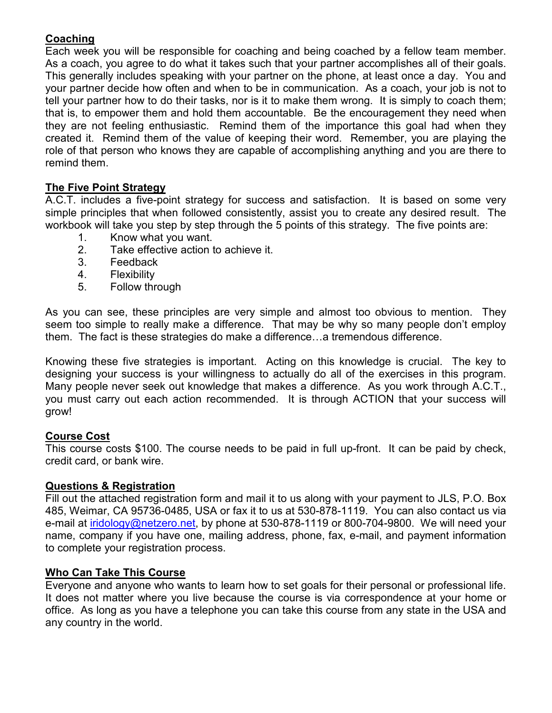# **Coaching**

Each week you will be responsible for coaching and being coached by a fellow team member. As a coach, you agree to do what it takes such that your partner accomplishes all of their goals. This generally includes speaking with your partner on the phone, at least once a day. You and your partner decide how often and when to be in communication. As a coach, your job is not to tell your partner how to do their tasks, nor is it to make them wrong. It is simply to coach them; that is, to empower them and hold them accountable. Be the encouragement they need when they are not feeling enthusiastic. Remind them of the importance this goal had when they created it. Remind them of the value of keeping their word. Remember, you are playing the role of that person who knows they are capable of accomplishing anything and you are there to remind them.

# **The Five Point Strategy**

A.C.T. includes a five-point strategy for success and satisfaction. It is based on some very simple principles that when followed consistently, assist you to create any desired result. The workbook will take you step by step through the 5 points of this strategy. The five points are:

- 1. Know what you want.
- 2. Take effective action to achieve it.
- 3. Feedback
- 4. Flexibility
- 5. Follow through

As you can see, these principles are very simple and almost too obvious to mention. They seem too simple to really make a difference. That may be why so many people don't employ them. The fact is these strategies do make a difference...a tremendous difference.

Knowing these five strategies is important. Acting on this knowledge is crucial. The key to designing your success is your willingness to actually do all of the exercises in this program. Many people never seek out knowledge that makes a difference. As you work through A.C.T., you must carry out each action recommended. It is through ACTION that your success will grow!

#### **Course Cost**

This course costs \$100. The course needs to be paid in full up-front. It can be paid by check, credit card, or bank wire.

#### **Questions & Registration**

Fill out the attached registration form and mail it to us along with your payment to JLS, P.O. Box 485, Weimar, CA 95736-0485, USA or fax it to us at 530-878-1119. You can also contact us via e-mail at iridology@netzero.net, by phone at 530-878-1119 or 800-704-9800. We will need your name, company if you have one, mailing address, phone, fax, e-mail, and payment information to complete your registration process.

#### **Who Can Take This Course**

Everyone and anyone who wants to learn how to set goals for their personal or professional life. It does not matter where you live because the course is via correspondence at your home or office. As long as you have a telephone you can take this course from any state in the USA and any country in the world.